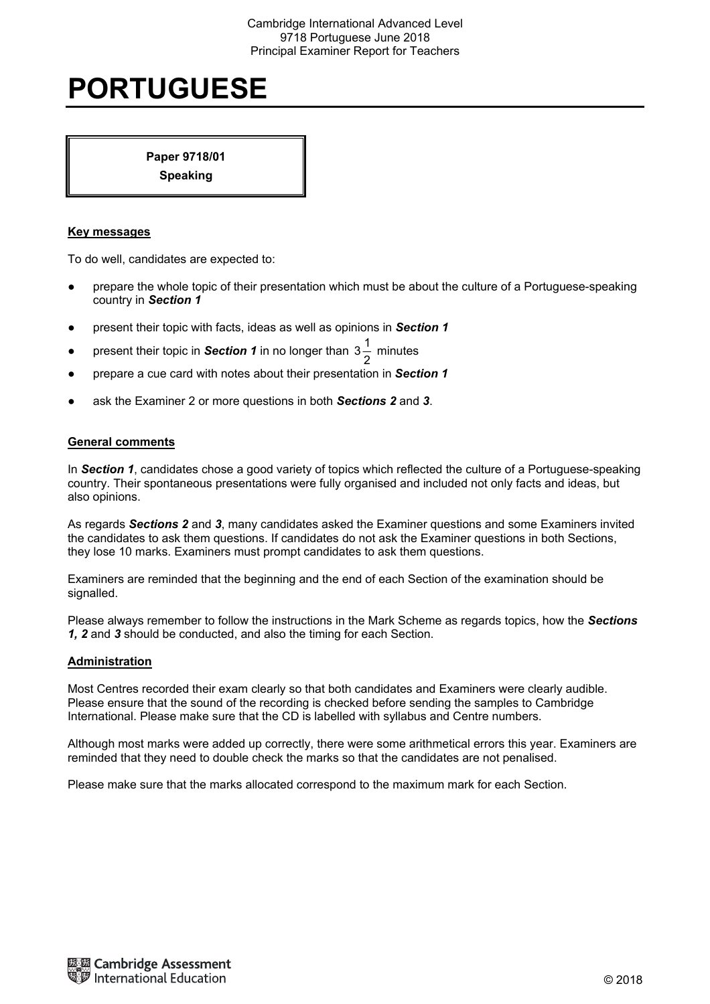# **PORTUGUESE**

**Paper 9718/01 Speaking** 

#### **Key messages**

To do well, candidates are expected to:

- prepare the whole topic of their presentation which must be about the culture of a Portuguese-speaking country in *Section 1*
- present their topic with facts, ideas as well as opinions in *Section 1*
- present their topic in **Section 1** in no longer than  $3\frac{1}{2}$  minutes
- prepare a cue card with notes about their presentation in *Section 1*
- ask the Examiner 2 or more questions in both *Sections 2* and *3*.

### **General comments**

In *Section 1*, candidates chose a good variety of topics which reflected the culture of a Portuguese-speaking country. Their spontaneous presentations were fully organised and included not only facts and ideas, but also opinions.

As regards *Sections 2* and *3*, many candidates asked the Examiner questions and some Examiners invited the candidates to ask them questions. If candidates do not ask the Examiner questions in both Sections, they lose 10 marks. Examiners must prompt candidates to ask them questions.

Examiners are reminded that the beginning and the end of each Section of the examination should be signalled.

Please always remember to follow the instructions in the Mark Scheme as regards topics, how the *Sections 1, 2* and *3* should be conducted, and also the timing for each Section.

#### **Administration**

Most Centres recorded their exam clearly so that both candidates and Examiners were clearly audible. Please ensure that the sound of the recording is checked before sending the samples to Cambridge International. Please make sure that the CD is labelled with syllabus and Centre numbers.

Although most marks were added up correctly, there were some arithmetical errors this year. Examiners are reminded that they need to double check the marks so that the candidates are not penalised.

Please make sure that the marks allocated correspond to the maximum mark for each Section.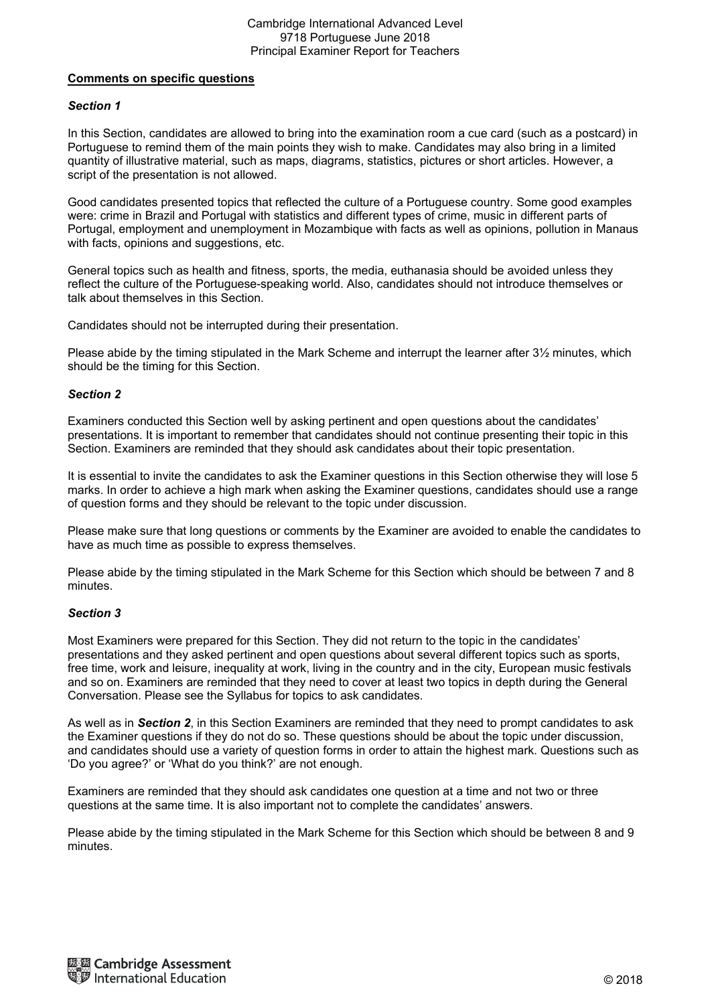### **Comments on specific questions**

### *Section 1*

In this Section, candidates are allowed to bring into the examination room a cue card (such as a postcard) in Portuguese to remind them of the main points they wish to make. Candidates may also bring in a limited quantity of illustrative material, such as maps, diagrams, statistics, pictures or short articles. However, a script of the presentation is not allowed.

Good candidates presented topics that reflected the culture of a Portuguese country. Some good examples were: crime in Brazil and Portugal with statistics and different types of crime, music in different parts of Portugal, employment and unemployment in Mozambique with facts as well as opinions, pollution in Manaus with facts, opinions and suggestions, etc.

General topics such as health and fitness, sports, the media, euthanasia should be avoided unless they reflect the culture of the Portuguese-speaking world. Also, candidates should not introduce themselves or talk about themselves in this Section.

Candidates should not be interrupted during their presentation.

Please abide by the timing stipulated in the Mark Scheme and interrupt the learner after 3½ minutes, which should be the timing for this Section.

### *Section 2*

Examiners conducted this Section well by asking pertinent and open questions about the candidates' presentations. It is important to remember that candidates should not continue presenting their topic in this Section. Examiners are reminded that they should ask candidates about their topic presentation.

It is essential to invite the candidates to ask the Examiner questions in this Section otherwise they will lose 5 marks. In order to achieve a high mark when asking the Examiner questions, candidates should use a range of question forms and they should be relevant to the topic under discussion.

Please make sure that long questions or comments by the Examiner are avoided to enable the candidates to have as much time as possible to express themselves.

Please abide by the timing stipulated in the Mark Scheme for this Section which should be between 7 and 8 minutes.

# *Section 3*

Most Examiners were prepared for this Section. They did not return to the topic in the candidates' presentations and they asked pertinent and open questions about several different topics such as sports, free time, work and leisure, inequality at work, living in the country and in the city, European music festivals and so on. Examiners are reminded that they need to cover at least two topics in depth during the General Conversation. Please see the Syllabus for topics to ask candidates.

As well as in *Section 2*, in this Section Examiners are reminded that they need to prompt candidates to ask the Examiner questions if they do not do so. These questions should be about the topic under discussion, and candidates should use a variety of question forms in order to attain the highest mark. Questions such as 'Do you agree?' or 'What do you think?' are not enough.

Examiners are reminded that they should ask candidates one question at a time and not two or three questions at the same time. It is also important not to complete the candidates' answers.

Please abide by the timing stipulated in the Mark Scheme for this Section which should be between 8 and 9 minutes.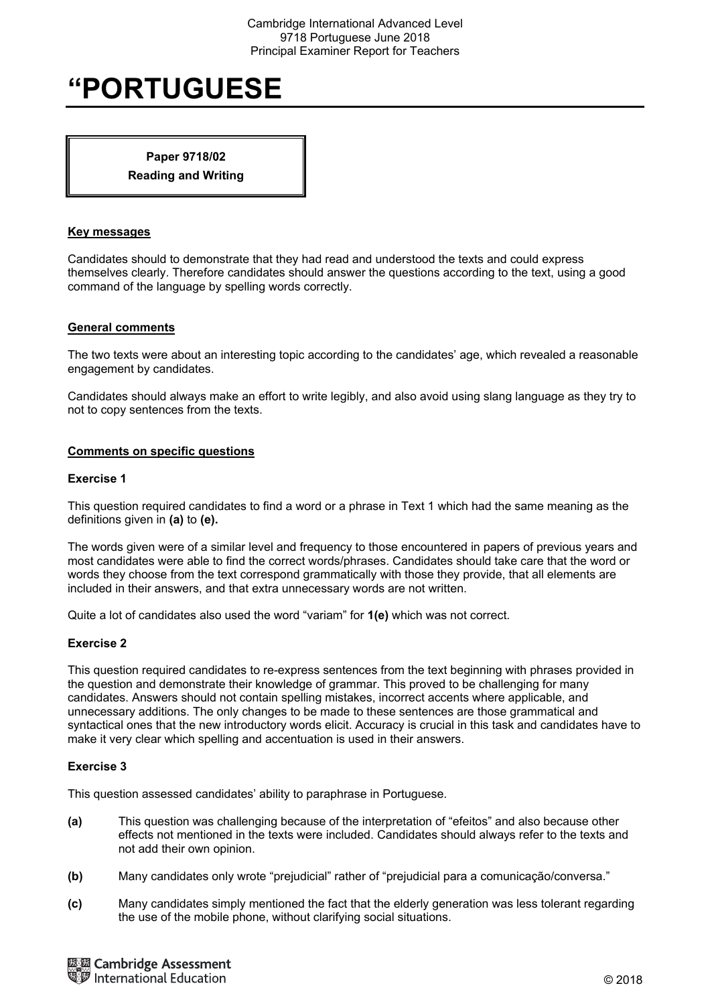# **"PORTUGUESE**

# **Paper 9718/02 Reading and Writing**

#### **Key messages**

Candidates should to demonstrate that they had read and understood the texts and could express themselves clearly. Therefore candidates should answer the questions according to the text, using a good command of the language by spelling words correctly.

### **General comments**

The two texts were about an interesting topic according to the candidates' age, which revealed a reasonable engagement by candidates.

Candidates should always make an effort to write legibly, and also avoid using slang language as they try to not to copy sentences from the texts.

### **Comments on specific questions**

#### **Exercise 1**

This question required candidates to find a word or a phrase in Text 1 which had the same meaning as the definitions given in **(a)** to **(e).**

The words given were of a similar level and frequency to those encountered in papers of previous years and most candidates were able to find the correct words/phrases. Candidates should take care that the word or words they choose from the text correspond grammatically with those they provide, that all elements are included in their answers, and that extra unnecessary words are not written.

Quite a lot of candidates also used the word "variam" for **1(e)** which was not correct.

#### **Exercise 2**

This question required candidates to re-express sentences from the text beginning with phrases provided in the question and demonstrate their knowledge of grammar. This proved to be challenging for many candidates. Answers should not contain spelling mistakes, incorrect accents where applicable, and unnecessary additions. The only changes to be made to these sentences are those grammatical and syntactical ones that the new introductory words elicit. Accuracy is crucial in this task and candidates have to make it very clear which spelling and accentuation is used in their answers.

# **Exercise 3**

This question assessed candidates' ability to paraphrase in Portuguese.

- **(a)** This question was challenging because of the interpretation of "efeitos" and also because other effects not mentioned in the texts were included. Candidates should always refer to the texts and not add their own opinion.
- **(b)** Many candidates only wrote "prejudicial" rather of "prejudicial para a comunicação/conversa."
- **(c)** Many candidates simply mentioned the fact that the elderly generation was less tolerant regarding the use of the mobile phone, without clarifying social situations.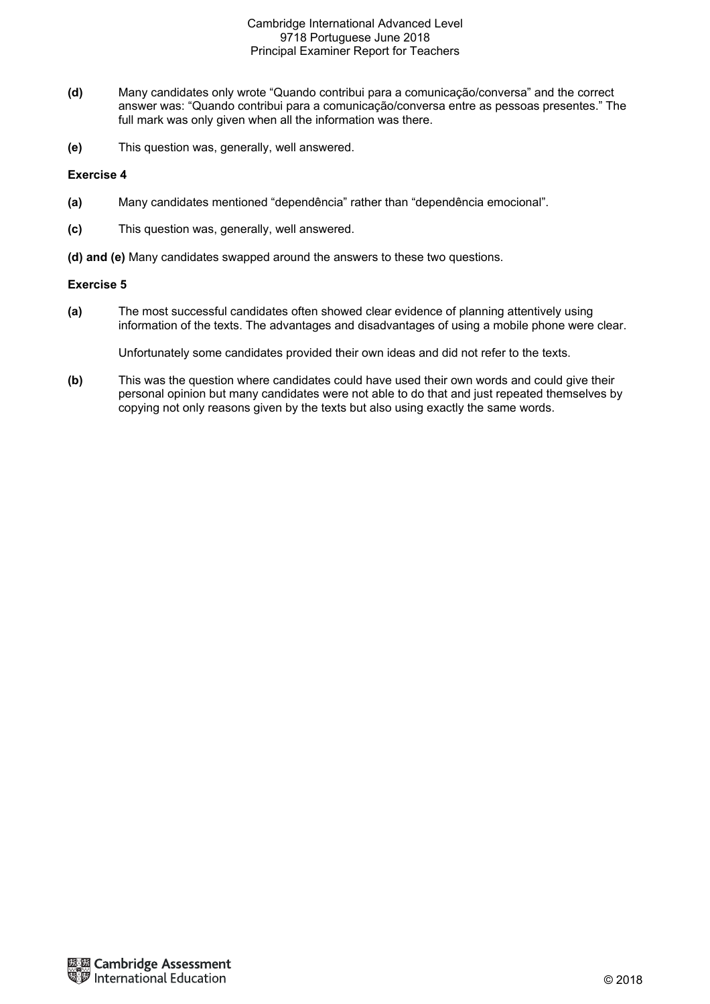- **(d)** Many candidates only wrote "Quando contribui para a comunicação/conversa" and the correct answer was: "Quando contribui para a comunicação/conversa entre as pessoas presentes." The full mark was only given when all the information was there.
- **(e)** This question was, generally, well answered.

### **Exercise 4**

- **(a)** Many candidates mentioned "dependência" rather than "dependência emocional".
- **(c)** This question was, generally, well answered.
- **(d) and (e)** Many candidates swapped around the answers to these two questions.

### **Exercise 5**

**(a)** The most successful candidates often showed clear evidence of planning attentively using information of the texts. The advantages and disadvantages of using a mobile phone were clear.

Unfortunately some candidates provided their own ideas and did not refer to the texts.

**(b)** This was the question where candidates could have used their own words and could give their personal opinion but many candidates were not able to do that and just repeated themselves by copying not only reasons given by the texts but also using exactly the same words.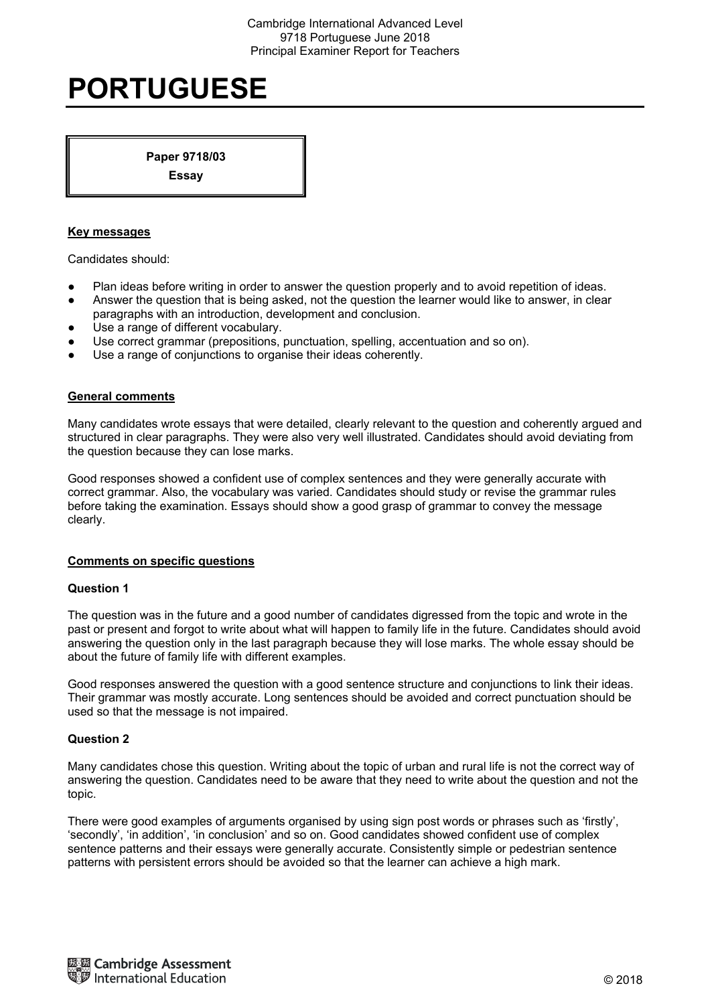# **PORTUGUESE**

**Paper 9718/03** 

**Essay** 

# **Key messages**

Candidates should:

- Plan ideas before writing in order to answer the question properly and to avoid repetition of ideas.
- Answer the question that is being asked, not the question the learner would like to answer, in clear paragraphs with an introduction, development and conclusion.
- Use a range of different vocabulary.
- Use correct grammar (prepositions, punctuation, spelling, accentuation and so on).
- Use a range of conjunctions to organise their ideas coherently.

### **General comments**

Many candidates wrote essays that were detailed, clearly relevant to the question and coherently argued and structured in clear paragraphs. They were also very well illustrated. Candidates should avoid deviating from the question because they can lose marks.

Good responses showed a confident use of complex sentences and they were generally accurate with correct grammar. Also, the vocabulary was varied. Candidates should study or revise the grammar rules before taking the examination. Essays should show a good grasp of grammar to convey the message clearly.

#### **Comments on specific questions**

#### **Question 1**

The question was in the future and a good number of candidates digressed from the topic and wrote in the past or present and forgot to write about what will happen to family life in the future. Candidates should avoid answering the question only in the last paragraph because they will lose marks. The whole essay should be about the future of family life with different examples.

Good responses answered the question with a good sentence structure and conjunctions to link their ideas. Their grammar was mostly accurate. Long sentences should be avoided and correct punctuation should be used so that the message is not impaired.

# **Question 2**

Many candidates chose this question. Writing about the topic of urban and rural life is not the correct way of answering the question. Candidates need to be aware that they need to write about the question and not the topic.

There were good examples of arguments organised by using sign post words or phrases such as 'firstly', 'secondly', 'in addition', 'in conclusion' and so on. Good candidates showed confident use of complex sentence patterns and their essays were generally accurate. Consistently simple or pedestrian sentence patterns with persistent errors should be avoided so that the learner can achieve a high mark.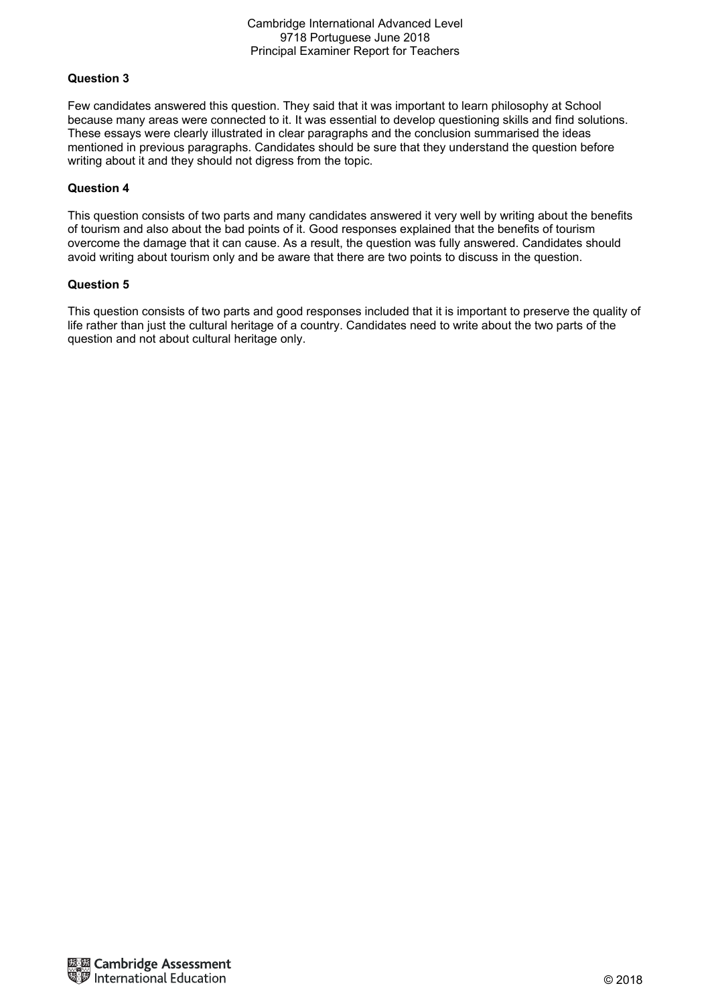# **Question 3**

Few candidates answered this question. They said that it was important to learn philosophy at School because many areas were connected to it. It was essential to develop questioning skills and find solutions. These essays were clearly illustrated in clear paragraphs and the conclusion summarised the ideas mentioned in previous paragraphs. Candidates should be sure that they understand the question before writing about it and they should not digress from the topic.

#### **Question 4**

This question consists of two parts and many candidates answered it very well by writing about the benefits of tourism and also about the bad points of it. Good responses explained that the benefits of tourism overcome the damage that it can cause. As a result, the question was fully answered. Candidates should avoid writing about tourism only and be aware that there are two points to discuss in the question.

### **Question 5**

This question consists of two parts and good responses included that it is important to preserve the quality of life rather than just the cultural heritage of a country. Candidates need to write about the two parts of the question and not about cultural heritage only.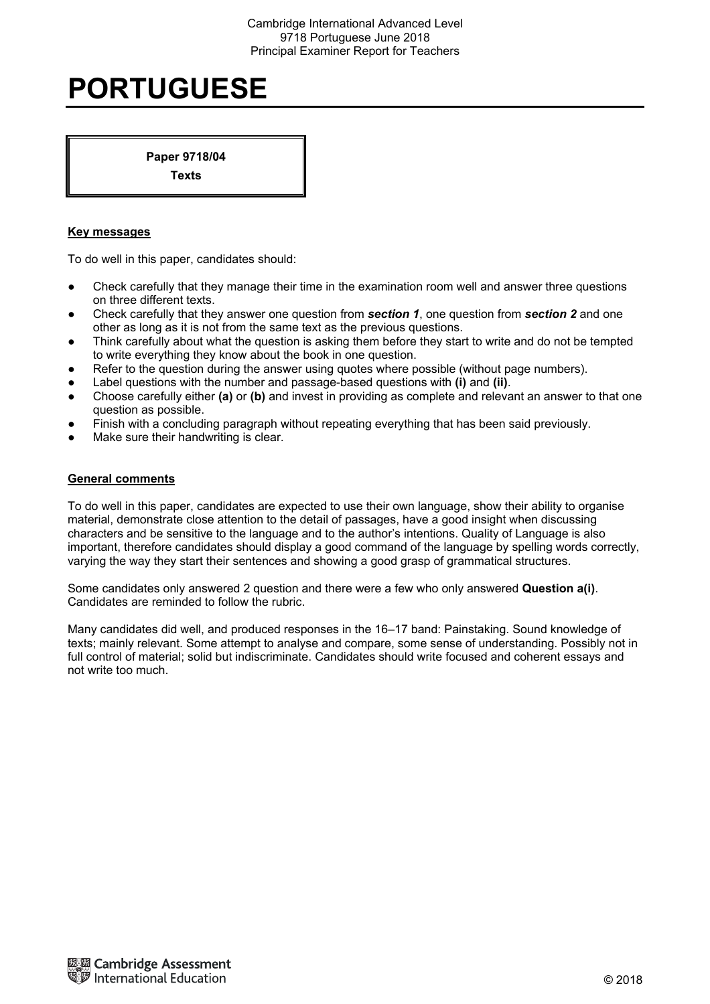# **PORTUGUESE**

**Paper 9718/04 Texts** 

# **Key messages**

To do well in this paper, candidates should:

- Check carefully that they manage their time in the examination room well and answer three questions on three different texts.
- Check carefully that they answer one question from *section 1*, one question from *section 2* and one other as long as it is not from the same text as the previous questions.
- Think carefully about what the question is asking them before they start to write and do not be tempted to write everything they know about the book in one question.
- Refer to the question during the answer using quotes where possible (without page numbers).
- Label questions with the number and passage-based questions with **(i)** and **(ii)**.
- Choose carefully either **(a)** or **(b)** and invest in providing as complete and relevant an answer to that one question as possible.
- Finish with a concluding paragraph without repeating everything that has been said previously.
- Make sure their handwriting is clear.

#### **General comments**

To do well in this paper, candidates are expected to use their own language, show their ability to organise material, demonstrate close attention to the detail of passages, have a good insight when discussing characters and be sensitive to the language and to the author's intentions. Quality of Language is also important, therefore candidates should display a good command of the language by spelling words correctly, varying the way they start their sentences and showing a good grasp of grammatical structures.

Some candidates only answered 2 question and there were a few who only answered **Question a(i)**. Candidates are reminded to follow the rubric.

Many candidates did well, and produced responses in the 16–17 band: Painstaking. Sound knowledge of texts; mainly relevant. Some attempt to analyse and compare, some sense of understanding. Possibly not in full control of material; solid but indiscriminate. Candidates should write focused and coherent essays and not write too much.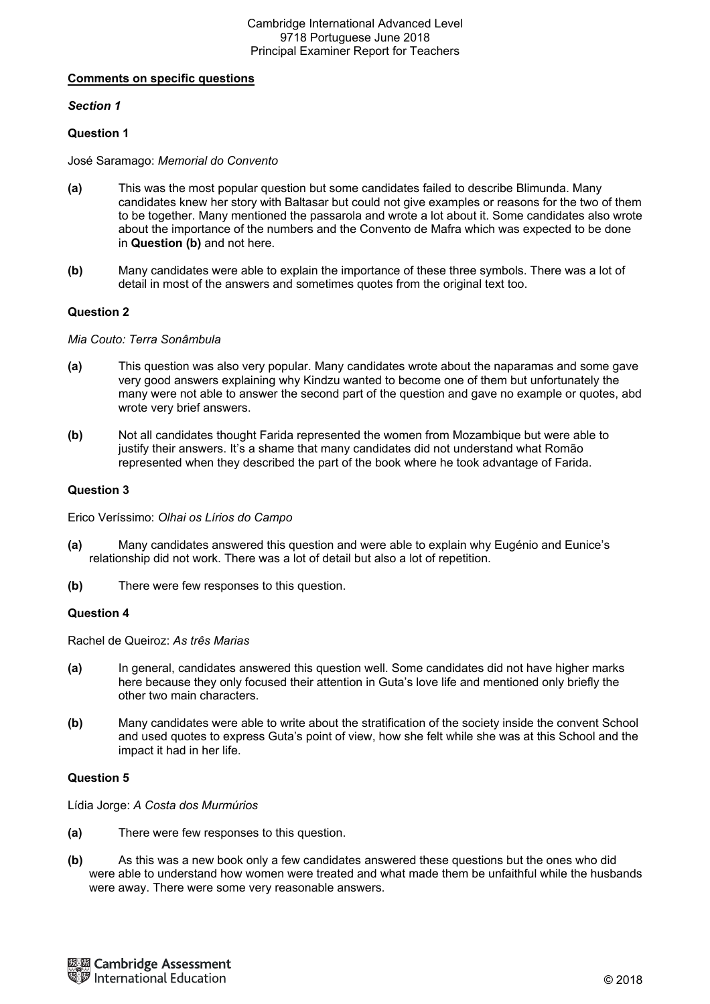# **Comments on specific questions**

# *Section 1*

# **Question 1**

José Saramago: *Memorial do Convento* 

- **(a)** This was the most popular question but some candidates failed to describe Blimunda. Many candidates knew her story with Baltasar but could not give examples or reasons for the two of them to be together. Many mentioned the passarola and wrote a lot about it. Some candidates also wrote about the importance of the numbers and the Convento de Mafra which was expected to be done in **Question (b)** and not here.
- **(b)** Many candidates were able to explain the importance of these three symbols. There was a lot of detail in most of the answers and sometimes quotes from the original text too.

### **Question 2**

*Mia Couto: Terra Sonâmbula* 

- **(a)** This question was also very popular. Many candidates wrote about the naparamas and some gave very good answers explaining why Kindzu wanted to become one of them but unfortunately the many were not able to answer the second part of the question and gave no example or quotes, abd wrote very brief answers.
- **(b)** Not all candidates thought Farida represented the women from Mozambique but were able to justify their answers. It's a shame that many candidates did not understand what Romão represented when they described the part of the book where he took advantage of Farida.

### **Question 3**

Erico Veríssimo: *Olhai os Lírios do Campo* 

- **(a)** Many candidates answered this question and were able to explain why Eugénio and Eunice's relationship did not work. There was a lot of detail but also a lot of repetition.
- **(b)** There were few responses to this question.

#### **Question 4**

Rachel de Queiroz: *As três Marias* 

- **(a)** In general, candidates answered this question well. Some candidates did not have higher marks here because they only focused their attention in Guta's love life and mentioned only briefly the other two main characters.
- **(b)** Many candidates were able to write about the stratification of the society inside the convent School and used quotes to express Guta's point of view, how she felt while she was at this School and the impact it had in her life.

### **Question 5**

Lídia Jorge: *A Costa dos Murmúrios* 

- **(a)** There were few responses to this question.
- **(b)** As this was a new book only a few candidates answered these questions but the ones who did were able to understand how women were treated and what made them be unfaithful while the husbands were away. There were some very reasonable answers.